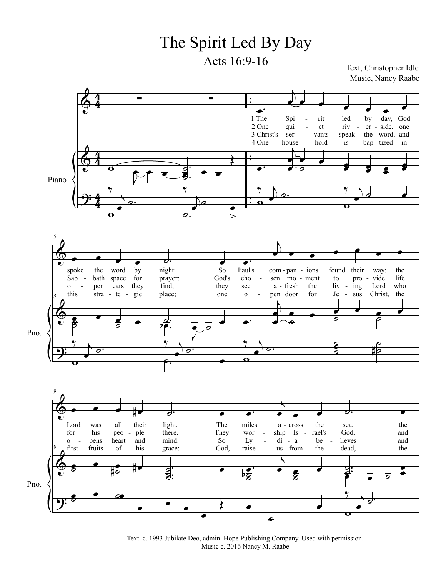## The Spirit Led By Day

Acts 16:9-16 Text, Christopher Idle

Music, Nancy Raabe



Text c. 1993 Jubilate Deo, admin. Hope Publishing Company. Used with permission. Music c. 2016 Nancy M. Raabe